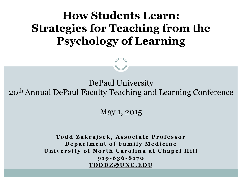**How Students Learn: Strategies for Teaching from the Psychology of Learning** 

DePaul University 20th Annual DePaul Faculty Teaching and Learning Conference

May 1, 2015

**Todd Zakrajsek, Associate Professor Department of Family Medicine University of North Carolina at Chapel Hill 919-636-8170 TODDZ@UNC.EDU**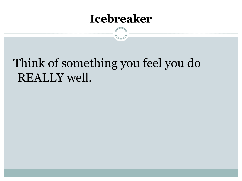#### **Icebreaker**

## Think of something you feel you do REALLY well.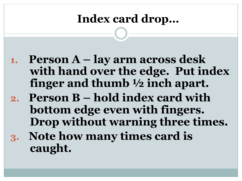### **Index card drop…**

- **1. Person A lay arm across desk with hand over the edge. Put index finger and thumb ½ inch apart.**
- **2. Person B hold index card with bottom edge even with fingers. Drop without warning three times.**
- **3. Note how many times card is caught.**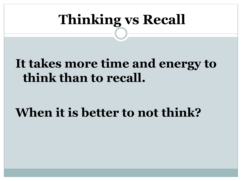# **Thinking vs Recall**

## **It takes more time and energy to think than to recall.**

## **When it is better to not think?**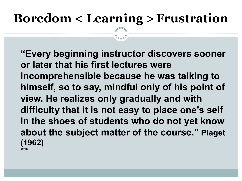# **Boredom < Learning >Frustration**

**"Every beginning instructor discovers sooner or later that his first lectures were incomprehensible because he was talking to himself, so to say, mindful only of his point of view. He realizes only gradually and with difficulty that it is not easy to place one's self in the shoes of students who do not yet know about the subject matter of the course." Piaget (1962) penny**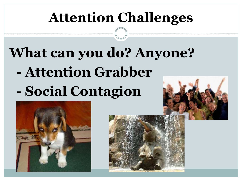# **Attention Challenges**

# **What can you do? Anyone? - Attention Grabber - Social Contagion**



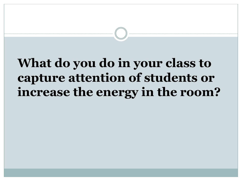# **What do you do in your class to capture attention of students or increase the energy in the room?**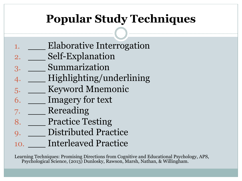## **Popular Study Techniques**

- Elaborative Interrogation
- 2. \_\_\_\_ Self-Explanation
- 3. \_\_\_ Summarization
- 4. \_\_\_ Highlighting/underlining
- 5. **Keyword Mnemonic**
- 6. \_\_\_ Imagery for text
- 7. \_\_\_ Rereading
- 8. Practice Testing
- 9. Distributed Practice
- 10. **Interleaved Practice**

Learning Techniques: Promising Directions from Cognitive and Educational Psychology, APS, Psychological Science, (2013) Dunlosky, Rawson, Marsh, Nathan, & Willingham.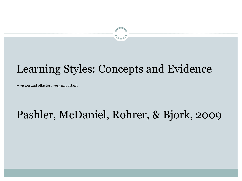### Learning Styles: Concepts and Evidence

-- vision and olfactory very important

#### Pashler, McDaniel, Rohrer, & Bjork, 2009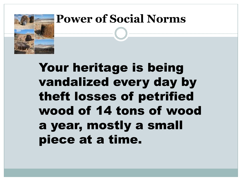

### **Power of Social Norms**

# Your heritage is being vandalized every day by theft losses of petrified wood of 14 tons of wood a year, mostly a small piece at a time.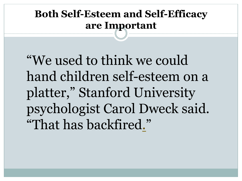#### **Both Self-Esteem and Self-Efficacy are Important**

"We used to think we could hand children self-esteem on a platter," Stanford University psychologist Carol Dweck said. "That has backfired."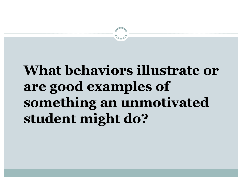# **What behaviors illustrate or are good examples of something an unmotivated student might do?**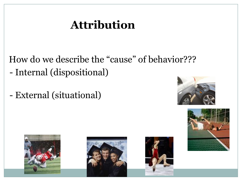## **Attribution**

 How do we describe the "cause" of behavior??? - Internal (dispositional)

- External (situational)









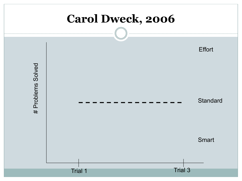